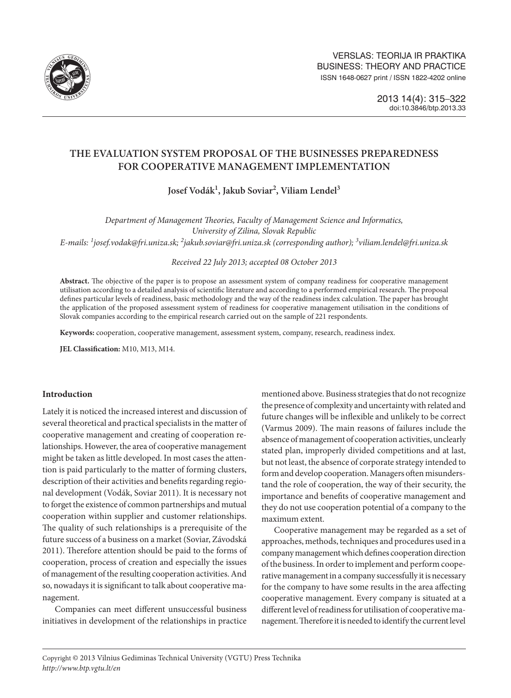

# **the Evaluation System PROPOSAL of THE BUSINESSES Preparedness for COOPERATIVE MANAGEMENT IMPLEMENTATION**

**Josef Vodák1 , Jakub Soviar2 , Viliam Lendel3**

*Department of Management Theories, Faculty of Management Science and Informatics, University of Zilina, Slovak Republic E-mails: <sup>1</sup> josef.vodak@fri.uniza.sk; 2 [jakub.soviar@fri.uniza.sk](mailto:2jakub.soviar@fri.uniza.sk) (corresponding author); 3 viliam.lendel@fri.uniza.sk*

*Received 22 July 2013; accepted 08 October 2013*

**Abstract.** The objective of the paper is to propose an assessment system of company readiness for cooperative management utilisation according to a detailed analysis of scientific literature and according to a performed empirical research. The proposal defines particular levels of readiness, basic methodology and the way of the readiness index calculation. The paper has brought the application of the proposed assessment system of readiness for cooperative management utilisation in the conditions of Slovak companies according to the empirical research carried out on the sample of 221 respondents.

**Keywords:** cooperation, cooperative management, assessment system, company, research, readiness index.

**JEL Classification:** M10, M13, M14.

# **Introduction**

Lately it is noticed the increased interest and discussion of several theoretical and practical specialists in the matter of cooperative management and creating of cooperation relationships. However, the area of cooperative management might be taken as little developed. In most cases the attention is paid particularly to the matter of forming clusters, description of their activities and benefits regarding regional development (Vodák, Soviar 2011). It is necessary not to forget the existence of common partnerships and mutual cooperation within supplier and customer relationships. The quality of such relationships is a prerequisite of the future success of a business on a market (Soviar, Závodská 2011). Therefore attention should be paid to the forms of cooperation, process of creation and especially the issues of management of the resulting cooperation activities. And so, nowadays it is significant to talk about cooperative management.

Companies can meet different unsuccessful business initiatives in development of the relationships in practice mentioned above. Business strategies that do not recognize the presence of complexity and uncertainty with related and future changes will be inflexible and unlikely to be correct (Varmus 2009). The main reasons of failures include the absence of management of cooperation activities, unclearly stated plan, improperly divided competitions and at last, but not least, the absence of corporate strategy intended to form and develop cooperation. Managers often misunderstand the role of cooperation, the way of their security, the importance and benefits of cooperative management and they do not use cooperation potential of a company to the maximum extent.

Cooperative management may be regarded as a set of approaches, methods, techniques and procedures used in a company management which defines cooperation direction of the business. In order to implement and perform cooperative management in a company successfully it is necessary for the company to have some results in the area affecting cooperative management. Every company is situated at a different level of readiness for utilisation of cooperative management. Therefore it is needed to identify the current level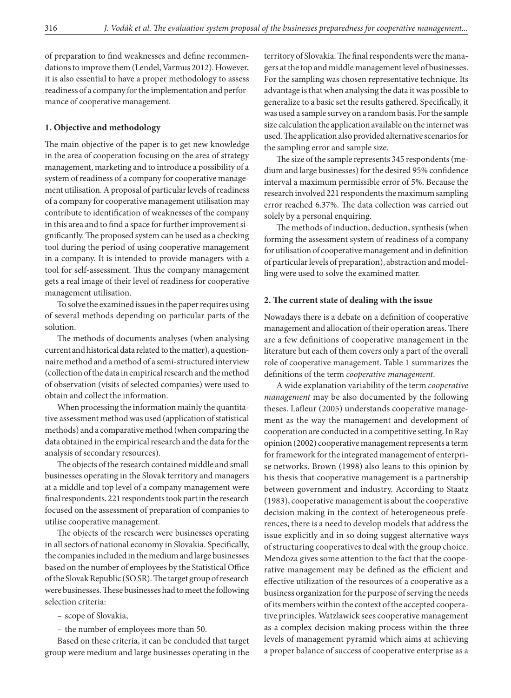of preparation to find weaknesses and define recommendations to improve them (Lendel, Varmus 2012). However, it is also essential to have a proper methodology to assess readiness of a company for the implementation and performance of cooperative management.

## **1. Objective and methodology**

The main objective of the paper is to get new knowledge in the area of cooperation focusing on the area of strategy management, marketing and to introduce a possibility of a system of readiness of a company for cooperative management utilisation. A proposal of particular levels of readiness of a company for cooperative management utilisation may contribute to identification of weaknesses of the company in this area and to find a space for further improvement significantly. The proposed system can be used as a checking tool during the period of using cooperative management in a company. It is intended to provide managers with a tool for self-assessment. Thus the company management gets a real image of their level of readiness for cooperative management utilisation.

To solve the examined issues in the paper requires using of several methods depending on particular parts of the solution.

The methods of documents analyses (when analysing current and historical data related to the matter), a questionnaire method and a method of a semi-structured interview (collection of the data in empirical research and the method of observation (visits of selected companies) were used to obtain and collect the information.

When processing the information mainly the quantitative assessment method was used (application of statistical methods) and a comparative method (when comparing the data obtained in the empirical research and the data for the analysis of secondary resources).

The objects of the research contained middle and small businesses operating in the Slovak territory and managers at a middle and top level of a company management were final respondents. 221 respondents took part in the research focused on the assessment of preparation of companies to utilise cooperative management.

The objects of the research were businesses operating in all sectors of national economy in Slovakia. Specifically, the companies included in the medium and large businesses based on the number of employees by the Statistical Office of the Slovak Republic (SO SR). The target group of research were businesses. These businesses had to meet the following selection criteria:

– scope of Slovakia,

– the number of employees more than 50.

Based on these criteria, it can be concluded that target group were medium and large businesses operating in the

territory of Slovakia. The final respondents were the managers at the top and middle management level of businesses. For the sampling was chosen representative technique. Its advantage is that when analysing the data it was possible to generalize to a basic set the results gathered. Specifically, it was used a sample survey on a random basis. For the sample size calculation the application available on the internet was used. The application also provided alternative scenarios for the sampling error and sample size.

The size of the sample represents 345 respondents (medium and large businesses) for the desired 95% confidence interval a maximum permissible error of 5%. Because the research involved 221 respondents the maximum sampling error reached 6.37%. The data collection was carried out solely by a personal enquiring.

The methods of induction, deduction, synthesis (when forming the assessment system of readiness of a company for utilisation of cooperative management and in definition of particular levels of preparation), abstraction and modelling were used to solve the examined matter.

### **2. The current state of dealing with the issue**

Nowadays there is a debate on a definition of cooperative management and allocation of their operation areas. There are a few definitions of cooperative management in the literature but each of them covers only a part of the overall role of cooperative management. Table 1 summarizes the definitions of the term *cooperative management*.

A wide explanation variability of the term *cooperative management* may be also documented by the following theses. Lafleur (2005) understands cooperative management as the way the management and development of cooperation are conducted in a competitive setting. In Ray opinion (2002) cooperative management represents a term for framework for the integrated management of enterprise networks. Brown (1998) also leans to this opinion by his thesis that cooperative management is a partnership between government and industry. According to Staatz (1983), cooperative management is about the cooperative decision making in the context of heterogeneous preferences, there is a need to develop models that address the issue explicitly and in so doing suggest alternative ways of structuring cooperatives to deal with the group choice. Mendoza gives some attention to the fact that the cooperative management may be defined as the efficient and effective utilization of the resources of a cooperative as a business organization for the purpose of serving the needs of its members within the context of the accepted cooperative principles. Watzlawick sees cooperative management as a complex decision making process within the three levels of management pyramid which aims at achieving a proper balance of success of cooperative enterprise as a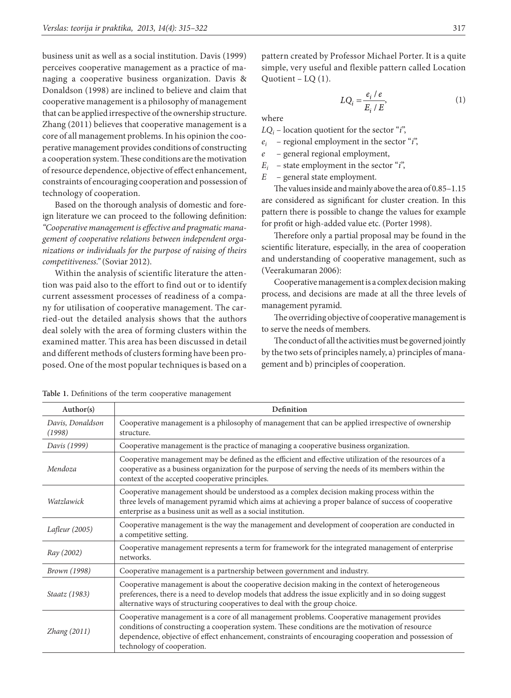business unit as well as a social institution. Davis (1999) perceives cooperative management as a practice of managing a cooperative business organization. Davis & Donaldson (1998) are inclined to believe and claim that cooperative management is a philosophy of management that can be applied irrespective of the ownership structure. Zhang (2011) believes that cooperative management is a core of all management problems. In his opinion the cooperative management provides conditions of constructing a cooperation system. These conditions are the motivation of resource dependence, objective of effect enhancement, constraints of encouraging cooperation and possession of technology of cooperation.

Based on the thorough analysis of domestic and foreign literature we can proceed to the following definition: *"Cooperative management is effective and pragmatic management of cooperative relations between independent organizations or individuals for the purpose of raising of theirs competitiveness."* (Soviar 2012).

Within the analysis of scientific literature the attention was paid also to the effort to find out or to identify current assessment processes of readiness of a company for utilisation of cooperative management. The carried-out the detailed analysis shows that the authors deal solely with the area of forming clusters within the examined matter. This area has been discussed in detail and different methods of clusters forming have been proposed. One of the most popular techniques is based on a pattern created by Professor Michael Porter. It is a quite simple, very useful and flexible pattern called Location Quotient – LQ (1).

$$
LQ_i = \frac{e_i / e}{E_i / E},\tag{1}
$$

where

 $LQ_i$  – location quotient for the sector "*i*",

- *ei* regional employment in the sector "*i*",
- *e* general regional employment,
- $E_i$  state employment in the sector "*i*",
- *E* general state employment.

The values inside and mainly above the area of 0.85–1.15 are considered as significant for cluster creation. In this pattern there is possible to change the values for example for profit or high-added value etc. (Porter 1998).

Therefore only a partial proposal may be found in the scientific literature, especially, in the area of cooperation and understanding of cooperative management, such as (Veerakumaran 2006):

Cooperative management is a complex decision making process, and decisions are made at all the three levels of management pyramid.

The overriding objective of cooperative management is to serve the needs of members.

The conduct of all the activities must be governed jointly by the two sets of principles namely, a) principles of management and b) principles of cooperation.

| Author(s)                  | Definition                                                                                                                                                                                                                                                                                                                              |
|----------------------------|-----------------------------------------------------------------------------------------------------------------------------------------------------------------------------------------------------------------------------------------------------------------------------------------------------------------------------------------|
| Davis, Donaldson<br>(1998) | Cooperative management is a philosophy of management that can be applied irrespective of ownership<br>structure.                                                                                                                                                                                                                        |
| Davis (1999)               | Cooperative management is the practice of managing a cooperative business organization.                                                                                                                                                                                                                                                 |
| Mendoza                    | Cooperative management may be defined as the efficient and effective utilization of the resources of a<br>cooperative as a business organization for the purpose of serving the needs of its members within the<br>context of the accepted cooperative principles.                                                                      |
| Watzlawick                 | Cooperative management should be understood as a complex decision making process within the<br>three levels of management pyramid which aims at achieving a proper balance of success of cooperative<br>enterprise as a business unit as well as a social institution.                                                                  |
| Lafleur (2005)             | Cooperative management is the way the management and development of cooperation are conducted in<br>a competitive setting.                                                                                                                                                                                                              |
| Ray (2002)                 | Cooperative management represents a term for framework for the integrated management of enterprise<br>networks.                                                                                                                                                                                                                         |
| <i>Brown</i> (1998)        | Cooperative management is a partnership between government and industry.                                                                                                                                                                                                                                                                |
| Staatz (1983)              | Cooperative management is about the cooperative decision making in the context of heterogeneous<br>preferences, there is a need to develop models that address the issue explicitly and in so doing suggest<br>alternative ways of structuring cooperatives to deal with the group choice.                                              |
| Zhang (2011)               | Cooperative management is a core of all management problems. Cooperative management provides<br>conditions of constructing a cooperation system. These conditions are the motivation of resource<br>dependence, objective of effect enhancement, constraints of encouraging cooperation and possession of<br>technology of cooperation. |

**Table 1.** Definitions of the term cooperative management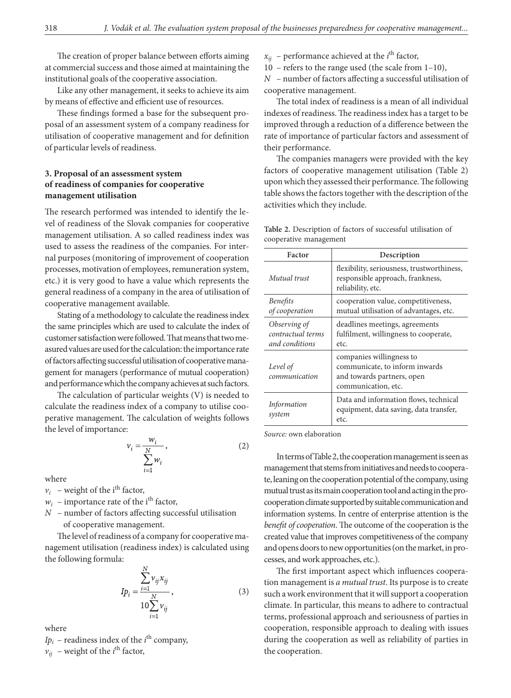The creation of proper balance between efforts aiming at commercial success and those aimed at maintaining the institutional goals of the cooperative association.

Like any other management, it seeks to achieve its aim by means of effective and efficient use of resources.

These findings formed a base for the subsequent proposal of an assessment system of a company readiness for utilisation of cooperative management and for definition of particular levels of readiness.

# **3. Proposal of an assessment system of readiness of companies for cooperative management utilisation**

The research performed was intended to identify the level of readiness of the Slovak companies for cooperative management utilisation. A so called readiness index was used to assess the readiness of the companies. For internal purposes (monitoring of improvement of cooperation processes, motivation of employees, remuneration system, etc.) it is very good to have a value which represents the general readiness of a company in the area of utilisation of cooperative management available.

Stating of a methodology to calculate the readiness index the same principles which are used to calculate the index of customer satisfaction were followed. That means that two measured values are used for the calculation: the importance rate of factors affecting successful utilisation of cooperative management for managers (performance of mutual cooperation) and performance which the company achieves at such factors.

The calculation of particular weights (V) is needed to calculate the readiness index of a company to utilise cooperative management. The calculation of weights follows the level of importance:

$$
v_i = \frac{w_i}{\sum_{i=1}^{N} w_i},
$$
\n(2)

where

 $v_i$  – weight of the i<sup>th</sup> factor,

- $w_i$  importance rate of the i<sup>th</sup> factor,
- *N* number of factors affecting successful utilisation of cooperative management.

The level of readiness of a company for cooperative management utilisation (readiness index) is calculated using the following formula:

$$
I p_i = \frac{\sum_{i=1}^{N} v_{ij} x_{ij}}{10 \sum_{i=1}^{N} v_{ij}},
$$
\n(3)

where

 $Ip_i$  – readiness index of the *i*<sup>th</sup> company,  $v_{ij}$  – weight of the *i*<sup>th</sup> factor,

 $x_{ij}$  – performance achieved at the  $i^{\text{th}}$  factor,

10 – refers to the range used (the scale from 1–10),

*N* – number of factors affecting a successful utilisation of cooperative management.

The total index of readiness is a mean of all individual indexes of readiness. The readiness index has a target to be improved through a reduction of a difference between the rate of importance of particular factors and assessment of their performance.

The companies managers were provided with the key factors of cooperative management utilisation (Table 2) upon which they assessed their performance. The following table shows the factors together with the description of the activities which they include.

| Factor                                              | Description                                                                                                     |  |  |  |
|-----------------------------------------------------|-----------------------------------------------------------------------------------------------------------------|--|--|--|
| Mutual trust                                        | flexibility, seriousness, trustworthiness,<br>responsible approach, frankness,<br>reliability, etc.             |  |  |  |
| <b>Benefits</b><br>of cooperation                   | cooperation value, competitiveness,<br>mutual utilisation of advantages, etc.                                   |  |  |  |
| Observing of<br>contractual terms<br>and conditions | deadlines meetings, agreements<br>fulfilment, willingness to cooperate,<br>etc.                                 |  |  |  |
| Level of<br>communication                           | companies willingness to<br>communicate, to inform inwards<br>and towards partners, open<br>communication, etc. |  |  |  |
| <i>Information</i><br>svstem                        | Data and information flows, technical<br>equipment, data saving, data transfer,                                 |  |  |  |

**Table 2.** Description of factors of successful utilisation of cooperative management

*Source:* own elaboration

etc.

In terms of Table 2, the cooperation management is seen as management that stems from initiatives and needs to cooperate, leaning on the cooperation potential of the company, using mutual trust as its main cooperation tool and acting in the procooperation climate supported by suitable communication and information systems. In centre of enterprise attention is the *benefit of cooperation*. The outcome of the cooperation is the created value that improves competitiveness of the company and opens doors to new opportunities (on the market, in processes, and work approaches, etc.).

The first important aspect which influences cooperation management is *a mutual trust*. Its purpose is to create such a work environment that it will support a cooperation climate. In particular, this means to adhere to contractual terms, professional approach and seriousness of parties in cooperation, responsible approach to dealing with issues during the cooperation as well as reliability of parties in the cooperation.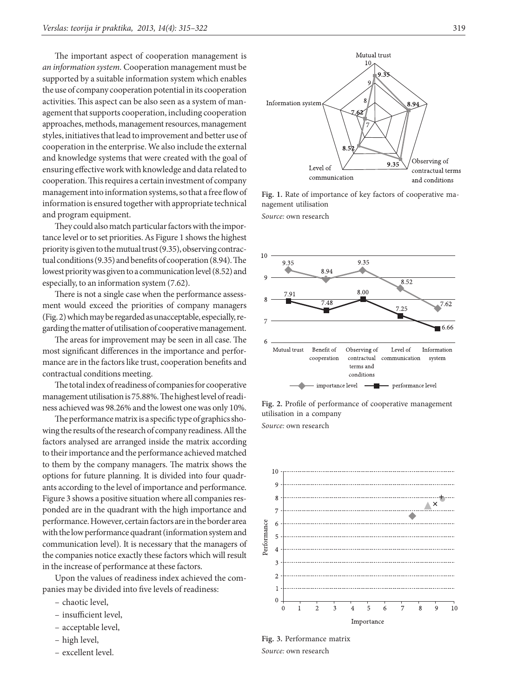The important aspect of cooperation management is *an information system.* Cooperation management must be supported by a suitable information system which enables the use of company cooperation potential in its cooperation activities. This aspect can be also seen as a system of management that supports cooperation, including cooperation approaches, methods, management resources, management styles, initiatives that lead to improvement and better use of cooperation in the enterprise. We also include the external and knowledge systems that were created with the goal of ensuring effective work with knowledge and data related to cooperation. This requires a certain investment of company management into information systems, so that a free flow of information is ensured together with appropriate technical and program equipment.

They could also match particular factors with the importance level or to set priorities. As Figure 1 shows the highest priority is given to the mutual trust (9.35), observing contractual conditions (9.35) and benefits of cooperation (8.94). The lowest priority was given to a communication level (8.52) and especially, to an information system (7.62).

There is not a single case when the performance assessment would exceed the priorities of company managers (Fig. 2) which may be regarded as unacceptable, especially, regarding the matter of utilisation of cooperative management.

The areas for improvement may be seen in all case. The most significant differences in the importance and performance are in the factors like trust, cooperation benefits and contractual conditions meeting.

The total index of readiness of companies for cooperative management utilisation is 75.88%. The highest level of readiness achieved was 98.26% and the lowest one was only 10%.

The performance matrix is a specific type of graphics showing the results of the research of company readiness. All the factors analysed are arranged inside the matrix according to their importance and the performance achieved matched to them by the company managers. The matrix shows the options for future planning. It is divided into four quadrants according to the level of importance and performance. Figure 3 shows a positive situation where all companies responded are in the quadrant with the high importance and performance. However, certain factors are in the border area with the low performance quadrant (information system and communication level). It is necessary that the managers of the companies notice exactly these factors which will result in the increase of performance at these factors.

Upon the values of readiness index achieved the companies may be divided into five levels of readiness:

- chaotic level,
- insufficient level,
- acceptable level,
- high level,
- excellent level.



**Fig. 1.** Rate of importance of key factors of cooperative management utilisation *Source:* own research



**Fig. 2.** Profile of performance of cooperative management utilisation in a company

*Source:* own research



**Fig. 3.** Performance matrix *Source:* own research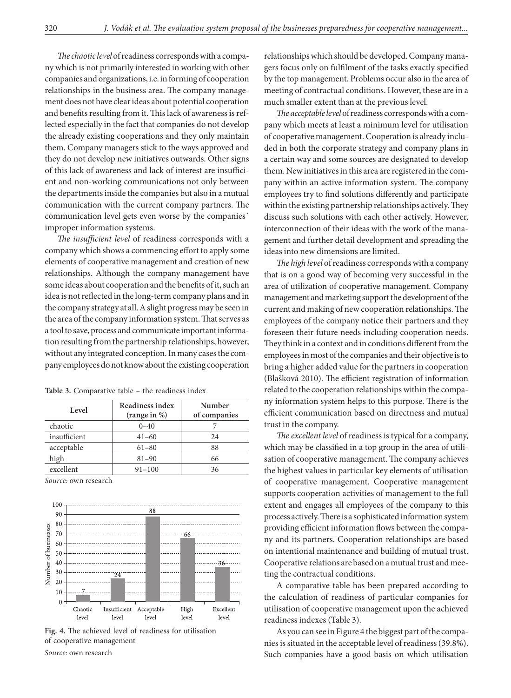*The chaotic level* of readiness corresponds with a company which is not primarily interested in working with other companies and organizations, i.e. in forming of cooperation relationships in the business area. The company management does not have clear ideas about potential cooperation and benefits resulting from it. This lack of awareness is reflected especially in the fact that companies do not develop the already existing cooperations and they only maintain them. Company managers stick to the ways approved and they do not develop new initiatives outwards. Other signs of this lack of awareness and lack of interest are insufficient and non-working communications not only between the departments inside the companies but also in a mutual communication with the current company partners. The communication level gets even worse by the companies´ improper information systems.

*The insufficient level* of readiness corresponds with a company which shows a commencing effort to apply some elements of cooperative management and creation of new relationships. Although the company management have some ideas about cooperation and the benefits of it, such an idea is not reflected in the long-term company plans and in the company strategy at all. A slight progress may be seen in the area of the company information system. That serves as a tool to save, process and communicate important information resulting from the partnership relationships, however, without any integrated conception. In many cases the company employees do not know about the existing cooperation

| Level        | Readiness index<br>(range in %) | Number<br>of companies |  |  |
|--------------|---------------------------------|------------------------|--|--|
| chaotic      | $0 - 40$                        |                        |  |  |
| insufficient | $41 - 60$                       | 24                     |  |  |
| acceptable   | $61 - 80$                       | 88                     |  |  |
| high         | $81 - 90$                       | 66                     |  |  |
| excellent    | $91 - 100$                      | 36                     |  |  |

**Table 3.** Comparative table – the readiness index

*Source:* own research



**Fig. 4.** The achieved level of readiness for utilisation of cooperative management

*Source:* own research

relationships which should be developed. Company managers focus only on fulfilment of the tasks exactly specified by the top management. Problems occur also in the area of meeting of contractual conditions. However, these are in a much smaller extent than at the previous level.

*The acceptable level* of readiness corresponds with a company which meets at least a minimum level for utilisation of cooperative management. Cooperation is already included in both the corporate strategy and company plans in a certain way and some sources are designated to develop them. New initiatives in this area are registered in the company within an active information system. The company employees try to find solutions differently and participate within the existing partnership relationships actively. They discuss such solutions with each other actively. However, interconnection of their ideas with the work of the management and further detail development and spreading the ideas into new dimensions are limited.

*The high level* of readiness corresponds with a company that is on a good way of becoming very successful in the area of utilization of cooperative management. Company management and marketing support the development of the current and making of new cooperation relationships. The employees of the company notice their partners and they foreseen their future needs including cooperation needs. They think in a context and in conditions different from the employees in most of the companies and their objective is to bring a higher added value for the partners in cooperation (Blašková 2010). The efficient registration of information related to the cooperation relationships within the company information system helps to this purpose. There is the efficient communication based on directness and mutual trust in the company.

*The excellent level* of readiness is typical for a company, which may be classified in a top group in the area of utilisation of cooperative management. The company achieves the highest values in particular key elements of utilisation of cooperative management. Cooperative management supports cooperation activities of management to the full extent and engages all employees of the company to this process actively. There is a sophisticated information system providing efficient information flows between the company and its partners. Cooperation relationships are based on intentional maintenance and building of mutual trust. Cooperative relations are based on a mutual trust and meeting the contractual conditions.

A comparative table has been prepared according to the calculation of readiness of particular companies for utilisation of cooperative management upon the achieved readiness indexes (Table 3).

As you can see in Figure 4 the biggest part of the companies is situated in the acceptable level of readiness (39.8%). Such companies have a good basis on which utilisation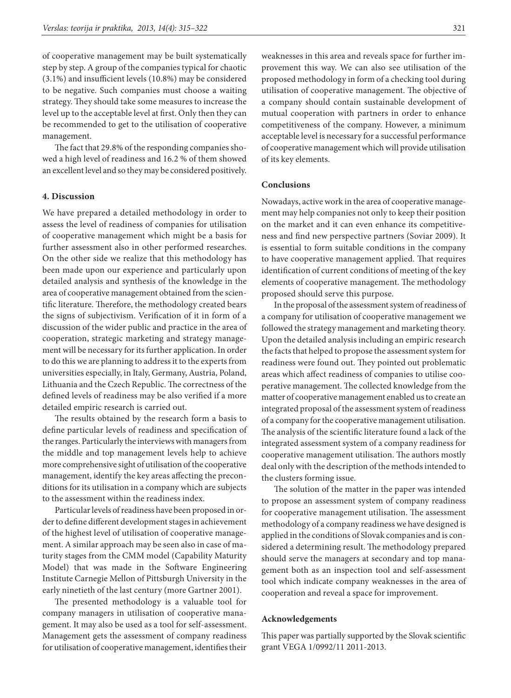of cooperative management may be built systematically step by step. A group of the companies typical for chaotic (3.1%) and insufficient levels (10.8%) may be considered to be negative. Such companies must choose a waiting strategy. They should take some measures to increase the level up to the acceptable level at first. Only then they can be recommended to get to the utilisation of cooperative management.

The fact that 29.8% of the responding companies showed a high level of readiness and 16.2 % of them showed an excellent level and so they may be considered positively.

### **4. Discussion**

We have prepared a detailed methodology in order to assess the level of readiness of companies for utilisation of cooperative management which might be a basis for further assessment also in other performed researches. On the other side we realize that this methodology has been made upon our experience and particularly upon detailed analysis and synthesis of the knowledge in the area of cooperative management obtained from the scientific literature. Therefore, the methodology created bears the signs of subjectivism. Verification of it in form of a discussion of the wider public and practice in the area of cooperation, strategic marketing and strategy management will be necessary for its further application. In order to do this we are planning to address it to the experts from universities especially, in Italy, Germany, Austria, Poland, Lithuania and the Czech Republic. The correctness of the defined levels of readiness may be also verified if a more detailed empiric research is carried out.

The results obtained by the research form a basis to define particular levels of readiness and specification of the ranges. Particularly the interviews with managers from the middle and top management levels help to achieve more comprehensive sight of utilisation of the cooperative management, identify the key areas affecting the preconditions for its utilisation in a company which are subjects to the assessment within the readiness index.

Particular levels of readiness have been proposed in order to define different development stages in achievement of the highest level of utilisation of cooperative management. A similar approach may be seen also in case of maturity stages from the CMM model (Capability Maturity Model) that was made in the Software Engineering Institute Carnegie Mellon of Pittsburgh University in the early ninetieth of the last century (more Gartner 2001).

The presented methodology is a valuable tool for company managers in utilisation of cooperative management. It may also be used as a tool for self-assessment. Management gets the assessment of company readiness for utilisation of cooperative management, identifies their weaknesses in this area and reveals space for further improvement this way. We can also see utilisation of the proposed methodology in form of a checking tool during utilisation of cooperative management. The objective of a company should contain sustainable development of mutual cooperation with partners in order to enhance competitiveness of the company. However, a minimum acceptable level is necessary for a successful performance of cooperative management which will provide utilisation of its key elements.

### **Conclusions**

Nowadays, active work in the area of cooperative management may help companies not only to keep their position on the market and it can even enhance its competitiveness and find new perspective partners (Soviar 2009). It is essential to form suitable conditions in the company to have cooperative management applied. That requires identification of current conditions of meeting of the key elements of cooperative management. The methodology proposed should serve this purpose.

In the proposal of the assessment system of readiness of a company for utilisation of cooperative management we followed the strategy management and marketing theory. Upon the detailed analysis including an empiric research the facts that helped to propose the assessment system for readiness were found out. They pointed out problematic areas which affect readiness of companies to utilise cooperative management. The collected knowledge from the matter of cooperative management enabled us to create an integrated proposal of the assessment system of readiness of a company for the cooperative management utilisation. The analysis of the scientific literature found a lack of the integrated assessment system of a company readiness for cooperative management utilisation. The authors mostly deal only with the description of the methods intended to the clusters forming issue.

The solution of the matter in the paper was intended to propose an assessment system of company readiness for cooperative management utilisation. The assessment methodology of a company readiness we have designed is applied in the conditions of Slovak companies and is considered a determining result. The methodology prepared should serve the managers at secondary and top management both as an inspection tool and self-assessment tool which indicate company weaknesses in the area of cooperation and reveal a space for improvement.

### **Acknowledgements**

This paper was partially supported by the Slovak scientific grant VEGA 1/0992/11 2011-2013.